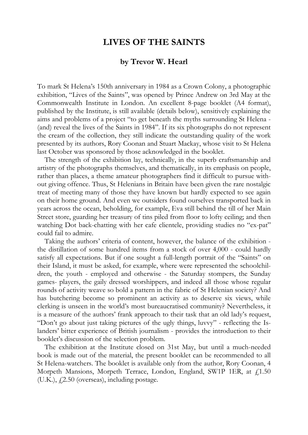## **LIVES OF THE SAINTS**

## **by Trevor W. Hearl**

To mark St Helena's 150th anniversary in 1984 as a Crown Colony, a photographic exhibition, "Lives of the Saints", was opened by Prince Andrew on 3rd May at the Commonwealth Institute in London. An excellent 8-page booklet (A4 format), published by the Institute, is still available (details below), sensitively explaining the aims and problems of a project "to get beneath the myths surrounding St Helena - (and) reveal the lives of the Saints in 1984". If its six photographs do not represent the cream of the collection, they still indicate the outstanding quality of the work presented by its authors, Rory Coonan and Stuart Mackay, whose visit to St Helena last October was sponsored by those acknowledged in the booklet.

The strength of the exhibition lay, technically, in the superb craftsmanship and artistry of the photographs themselves, and thematically, in its emphasis on people, rather than places, a theme amateur photographers find it difficult to pursue without giving offence. Thus, St Helenians in Britain have been given the rare nostalgic treat of meeting many of those they have known but hardly expected to see again on their home ground. And even we outsiders found ourselves transported back in years across the ocean, beholding, for example, Eva still behind the till of her Main Street store, guarding her treasury of tins piled from floor to lofty ceiling; and then watching Dot back-chatting with her cafe clientele, providing studies no "ex-pat" could fail to admire.

Taking the authors' criteria of content, however, the balance of the exhibition the distillation of some hundred items from a stock of over 4,000 - could hardly satisfy all expectations. But if one sought a full-length portrait of the "Saints" on their Island, it must be asked, for example, where were represented the schoolchildren, the youth - employed and otherwise - the Saturday stompers, the Sunday games- players, the gaily dressed worshippers, and indeed all those whose regular rounds of activity weave so bold a pattern in the fabric of St Helenian society? And has butchering become so prominent an activity as to deserve six views, while clerking is unseen in the world's most bureaucratised community? Nevertheless, it is a measure of the authors' frank approach to their task that an old lady's request, "Don't go about just taking pictures of the ugly things, luvvy" - reflecting the Islanders' bitter experience of British journalism - provides the introduction to their booklet's discussion of the selection problem.

The exhibition at the Institute closed on 31st May, but until a much-needed book is made out of the material, the present booklet can be recommended to all St Helena-watchers. The booklet is available only from the author, Rory Coonan, 4 Morpeth Mansions, Morpeth Terrace, London, England, SW1P 1ER, at  $f$ 1.50  $(U.K.), f2.50 (overse),$  including postage.